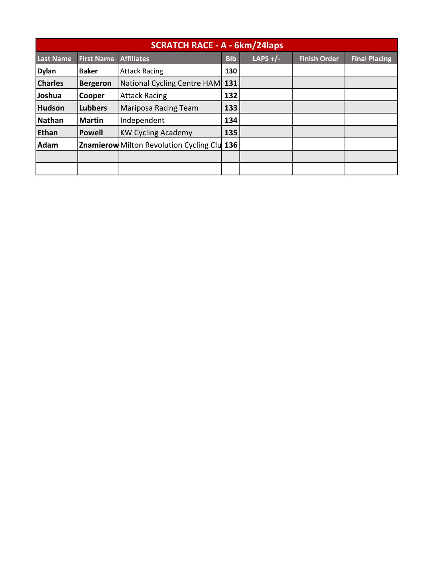| <b>SCRATCH RACE - A - 6km/24laps</b> |                   |                                                    |            |            |                     |                      |
|--------------------------------------|-------------------|----------------------------------------------------|------------|------------|---------------------|----------------------|
| <b>Last Name</b>                     | <b>First Name</b> | <b>Affiliates</b>                                  | <b>Bib</b> | LAPS $+/-$ | <b>Finish Order</b> | <b>Final Placing</b> |
| <b>Dylan</b>                         | <b>Baker</b>      | <b>Attack Racing</b>                               | 130        |            |                     |                      |
| <b>Charles</b>                       | <b>Bergeron</b>   | National Cycling Centre HAM 131                    |            |            |                     |                      |
| Joshua                               | Cooper            | <b>Attack Racing</b>                               | 132        |            |                     |                      |
| <b>Hudson</b>                        | <b>Lubbers</b>    | <b>Mariposa Racing Team</b>                        | 133        |            |                     |                      |
| <b>Nathan</b>                        | <b>Martin</b>     | Independent                                        | 134        |            |                     |                      |
| Ethan                                | <b>Powell</b>     | <b>KW Cycling Academy</b>                          | 135        |            |                     |                      |
| <b>Adam</b>                          |                   | <b>Znamierow</b> Milton Revolution Cycling Clu 136 |            |            |                     |                      |
|                                      |                   |                                                    |            |            |                     |                      |
|                                      |                   |                                                    |            |            |                     |                      |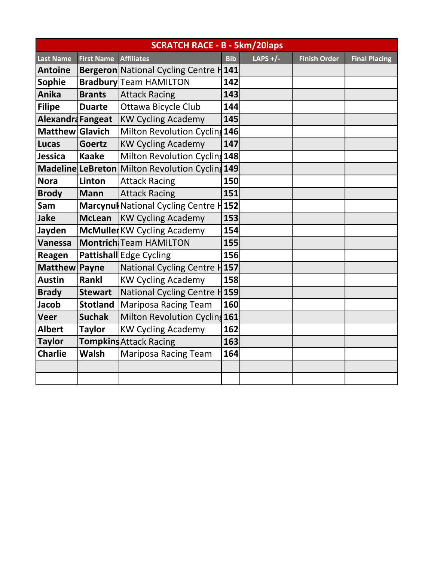| <b>SCRATCH RACE - B - 5km/20laps</b> |                   |                                                 |            |            |                     |                      |
|--------------------------------------|-------------------|-------------------------------------------------|------------|------------|---------------------|----------------------|
| <b>Last Name</b>                     | <b>First Name</b> | <b>Affiliates</b>                               | <b>Bib</b> | LAPS $+/-$ | <b>Finish Order</b> | <b>Final Placing</b> |
| <b>Antoine</b>                       |                   | <b>Bergeron</b> National Cycling Centre H       | 141        |            |                     |                      |
| <b>Sophie</b>                        |                   | <b>Bradbury</b> Team HAMILTON                   | 142        |            |                     |                      |
| Anika                                | <b>Brants</b>     | <b>Attack Racing</b>                            | 143        |            |                     |                      |
| <b>Filipe</b>                        | <b>Duarte</b>     | Ottawa Bicycle Club                             | 144        |            |                     |                      |
| Alexandra Fangeat                    |                   | <b>KW Cycling Academy</b>                       | 145        |            |                     |                      |
| Matthew Glavich                      |                   | Milton Revolution Cycling 146                   |            |            |                     |                      |
| <b>Lucas</b>                         | <b>Goertz</b>     | <b>KW Cycling Academy</b>                       | 147        |            |                     |                      |
| Jessica                              | <b>Kaake</b>      | Milton Revolution Cycling 148                   |            |            |                     |                      |
|                                      |                   | Madeline LeBreton Milton Revolution Cycling 149 |            |            |                     |                      |
| <b>Nora</b>                          | Linton            | <b>Attack Racing</b>                            | 150        |            |                     |                      |
| <b>Brody</b>                         | <b>Mann</b>       | <b>Attack Racing</b>                            | 151        |            |                     |                      |
| Sam                                  |                   | Marcynul National Cycling Centre H152           |            |            |                     |                      |
| Jake                                 | <b>McLean</b>     | <b>KW Cycling Academy</b>                       | 153        |            |                     |                      |
| Jayden                               |                   | McMuller KW Cycling Academy                     | 154        |            |                     |                      |
| <b>Vanessa</b>                       |                   | <b>Montrich</b> Team HAMILTON                   | 155        |            |                     |                      |
| Reagen                               |                   | Pattishall Edge Cycling                         | 156        |            |                     |                      |
| <b>Matthew</b>                       | Payne             | National Cycling Centre H157                    |            |            |                     |                      |
| <b>Austin</b>                        | Rankl             | <b>KW Cycling Academy</b>                       | 158        |            |                     |                      |
| <b>Brady</b>                         | <b>Stewart</b>    | National Cycling Centre H <sub>159</sub>        |            |            |                     |                      |
| <b>Jacob</b>                         | <b>Stotland</b>   | Mariposa Racing Team                            | 160        |            |                     |                      |
| <b>Veer</b>                          | <b>Suchak</b>     | Milton Revolution Cyclin 161                    |            |            |                     |                      |
| <b>Albert</b>                        | <b>Taylor</b>     | <b>KW Cycling Academy</b>                       | 162        |            |                     |                      |
| <b>Taylor</b>                        |                   | <b>Tompkins Attack Racing</b>                   | 163        |            |                     |                      |
| <b>Charlie</b>                       | <b>Walsh</b>      | <b>Mariposa Racing Team</b>                     | 164        |            |                     |                      |
|                                      |                   |                                                 |            |            |                     |                      |
|                                      |                   |                                                 |            |            |                     |                      |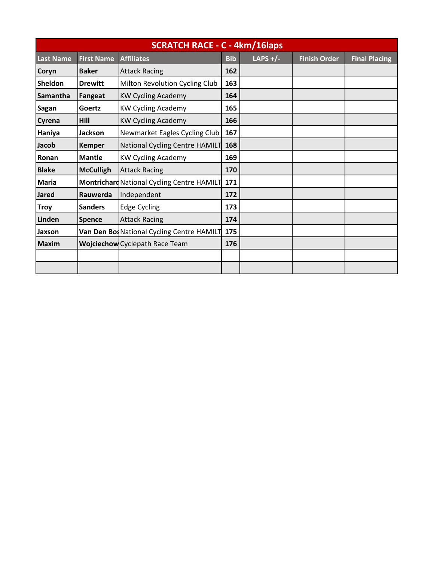| <b>SCRATCH RACE - C - 4km/16laps</b> |                   |                                            |            |            |                     |                      |
|--------------------------------------|-------------------|--------------------------------------------|------------|------------|---------------------|----------------------|
| <b>Last Name</b>                     | <b>First Name</b> | <b>Affiliates</b>                          | <b>Bib</b> | LAPS $+/-$ | <b>Finish Order</b> | <b>Final Placing</b> |
| Coryn                                | <b>Baker</b>      | <b>Attack Racing</b>                       | 162        |            |                     |                      |
| Sheldon                              | <b>Drewitt</b>    | Milton Revolution Cycling Club             | 163        |            |                     |                      |
| Samantha                             | Fangeat           | <b>KW Cycling Academy</b>                  | 164        |            |                     |                      |
| Sagan                                | Goertz            | <b>KW Cycling Academy</b>                  | 165        |            |                     |                      |
| Cyrena                               | Hill              | <b>KW Cycling Academy</b>                  | 166        |            |                     |                      |
| Haniya                               | <b>Jackson</b>    | Newmarket Eagles Cycling Club              | 167        |            |                     |                      |
| Jacob                                | <b>Kemper</b>     | National Cycling Centre HAMILT             | 168        |            |                     |                      |
| Ronan                                | <b>Mantle</b>     | <b>KW Cycling Academy</b>                  | 169        |            |                     |                      |
| <b>Blake</b>                         | <b>McCulligh</b>  | <b>Attack Racing</b>                       | 170        |            |                     |                      |
| <b>Maria</b>                         |                   | Montrichard National Cycling Centre HAMILT | 171        |            |                     |                      |
| <b>Jared</b>                         | Rauwerda          | Independent                                | 172        |            |                     |                      |
| <b>Troy</b>                          | <b>Sanders</b>    | <b>Edge Cycling</b>                        | 173        |            |                     |                      |
| Linden                               | <b>Spence</b>     | <b>Attack Racing</b>                       | 174        |            |                     |                      |
| Jaxson                               |                   | Van Den BosNational Cycling Centre HAMILT  | 175        |            |                     |                      |
| <b>Maxim</b>                         |                   | <b>Wojciechow</b> Cyclepath Race Team      | 176        |            |                     |                      |
|                                      |                   |                                            |            |            |                     |                      |
|                                      |                   |                                            |            |            |                     |                      |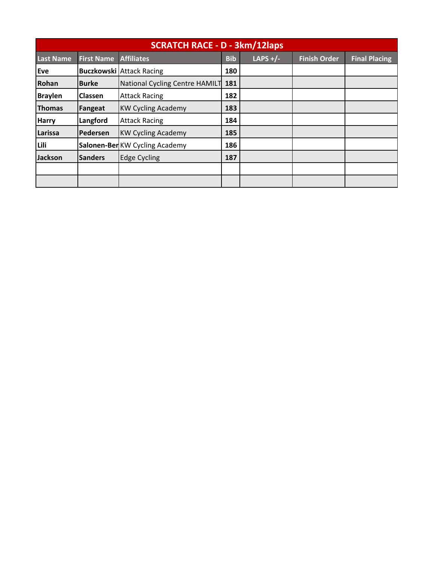| <b>SCRATCH RACE - D - 3km/12laps</b> |                   |                                 |            |            |                     |                      |
|--------------------------------------|-------------------|---------------------------------|------------|------------|---------------------|----------------------|
| <b>Last Name</b>                     | <b>First Name</b> | <b>Affiliates</b>               | <b>Bib</b> | LAPS $+/-$ | <b>Finish Order</b> | <b>Final Placing</b> |
| Eve                                  |                   | <b>Buczkowski Attack Racing</b> | 180        |            |                     |                      |
| Rohan                                | <b>Burke</b>      | National Cycling Centre HAMILT  | 181        |            |                     |                      |
| <b>Braylen</b>                       | <b>Classen</b>    | <b>Attack Racing</b>            | 182        |            |                     |                      |
| <b>Thomas</b>                        | Fangeat           | <b>KW Cycling Academy</b>       | 183        |            |                     |                      |
| <b>Harry</b>                         | Langford          | <b>Attack Racing</b>            | 184        |            |                     |                      |
| Larissa                              | Pedersen          | <b>KW Cycling Academy</b>       | 185        |            |                     |                      |
| Lili                                 |                   | Salonen-BerKW Cycling Academy   | 186        |            |                     |                      |
| <b>Jackson</b>                       | <b>Sanders</b>    | <b>Edge Cycling</b>             | 187        |            |                     |                      |
|                                      |                   |                                 |            |            |                     |                      |
|                                      |                   |                                 |            |            |                     |                      |